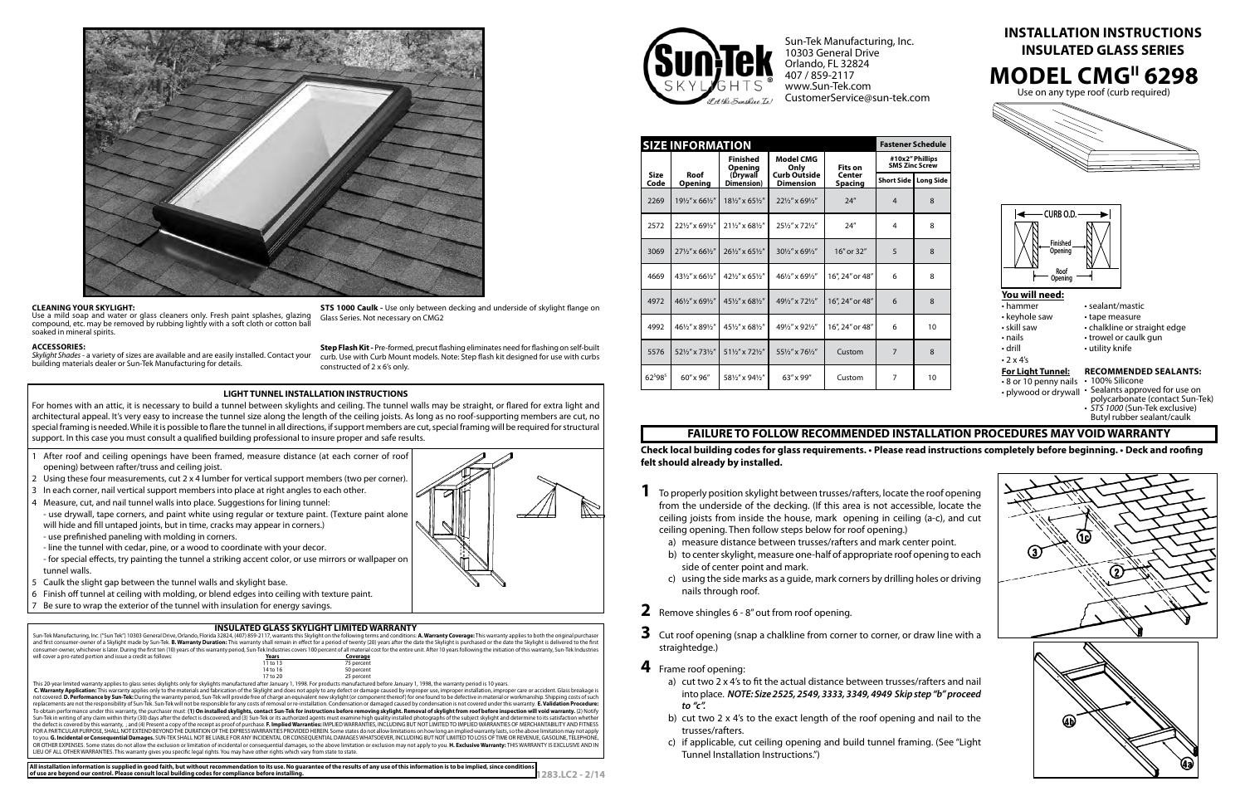|                     | <b>SIZE INFORMATION</b> |                                   |                                         |                                     | <b>Fastener Schedule</b>          |              |
|---------------------|-------------------------|-----------------------------------|-----------------------------------------|-------------------------------------|-----------------------------------|--------------|
|                     |                         | <b>Finished</b><br><b>Opening</b> | Model CMG<br>Only                       | Fits on<br>Center<br><b>Spacing</b> | #10x2" Phillips<br>SMS Zinc Screw |              |
| <b>Size</b><br>Code | Roof<br><b>Opening</b>  | (Drywall<br>Dimension)            | <b>Curb Outside</b><br><b>Dimension</b> |                                     | <b>Short Side</b>                 | Long Side    |
| 2269                | 191/2" x 661/2"         | 181/2" x 651/2"                   | 221/2" x 691/2"                         | 24''                                | $\overline{4}$                    | 8            |
| 2572                | 221/2" x 691/2"         | 211/2" x 681/2"                   | 251/2" x 721/2"                         | 24''                                | 4                                 | 8            |
| 3069                | 271/2" x 661/2"         | 261/2" x 651/2"                   | 301/2" x 691/2"                         | 16" or 32"                          | 5                                 | 8            |
| 4669                | 431/2" x 661/2"         | 421/2" x 651/2"                   | 461/2" x 691/2"                         | 16", 24" or 48"                     | 6                                 | 8            |
| 4972                | 461/2" x 691/2"         | 451/2" x 681/2"                   | 491/2" x 721/2"                         | 16", 24" or 48"                     | 6                                 | $\mathbf{8}$ |
| 4992                | 461/2" x 891/2"         | 451/2" x 681/2"                   | 491/2" x 921/2"                         | 16", 24" or 48"                     | 6                                 | 10           |
| 5576                | 521/2" x 731/2"         | 511/2" x 721/2"                   | 551/2" x 761/2"                         | Custom                              | 7                                 | $\mathbf{8}$ |
| 625985              | 60" x 96"               | 581/2" x 941/2"                   | 63" x 99"                               | Custom                              | 7                                 | 10           |

## **FAILURE TO FOLLOW RECOMMENDED INSTALLATION PROCEDURES MAY VOID WARRANTY**

**Check local building codes for glass requirements. • Please read instructions completely before beginning. • Deck and roofing felt should already by installed.** 

| This 20-year limited warranty applies to glass series skylights only for skylights manufactured after January 1, 1998. For products manufactured before January 1, 1998, the warranty period is 10 years.                      |
|--------------------------------------------------------------------------------------------------------------------------------------------------------------------------------------------------------------------------------|
| C. Warranty Application: This warranty applies only to the materials and fabrication of the Skylight and does not apply to any defect or damage caused by improper use, improper installation, improper care or accident. Glas |
| not covered. D. Performance by Sun-Tek: During the warranty period, Sun-Tek will provide free of charge an equivalent new skylight (or component thereof) for one found to be defective in material or workmanship. Shipping c |
| replacements are not the responsibility of Sun-Tek. Sun-Tek will not be responsible for any costs of removal or re-installation. Condensation or damaged caused by condensation is not covered under this warranty. E. Validat |
| To obtain performance under this warranty, the purchaser must: (1) On installed skylights, contact Sun-Tek for instructions before removing skylight. Removal of skylight from roof before inspection will void warranty. (2)  |
| Sun-Tek in writing of any claim within thirty (30) days after the defect is discovered; and (3) Sun-Tek or its authorized agents must examine high quality installed photographs of the subject skylight and determine to its  |
| the defect is covered by this warranty, ; and (4) Present a copy of the receipt as proof of purchase. F. Implied Warranties: IMPLIED WARRANTIES, INCLUDING BUT NOT LIMITED TO IMPLIED WARRANTIES OF MERCHANTABILITY AND FITNES |
| FOR A PARTICULAR PURPOSE, SHALL NOT EXTEND BEYOND THE DURATION OF THE EXPRESS WARRANTIES PROVIDED HEREIN. Some states do not allow limitations on how long an implied warranty lasts, so the above limitation may not apply    |
| to you. G. Incidental or Consequential Damages. SUN-TEK SHALL NOT BE LIABLE FOR ANY INCIDENTAL OR CONSEQUENTIAL DAMAGES WHATSOEVER, INCLUDING BUT NOT LIMITED TO LOSS OF TIME OR REVENUE, GASOLINE, TELEPHONE,                 |
| OR OTHER EXPENSES. Some states do not allow the exclusion or limitation of incidental or consequential damages, so the above limitation or exclusion may not apply to you. H. Exclusive Warranty: THIS WARRANTY IS EXCLUSIVE A |
| LIEU OF ALL OTHER WARRANTIES. This warranty gives you specific legal rights. You may have other rights which vary from state to state.                                                                                         |
|                                                                                                                                                                                                                                |

| тнэ 20-усагтниса warranty аррисэ to qiass эснез экундно онгу юг экундно тнанаассагса атегзанаа у т, тээо.гог риошсо тнанаассагса остоге занаагу т, тээо, игс warranty реноатэ то усагз.                                        |
|--------------------------------------------------------------------------------------------------------------------------------------------------------------------------------------------------------------------------------|
| C. Warranty Application: This warranty applies only to the materials and fabrication of the Skylight and does not apply to any defect or damage caused by improper use, improper installation, improper care or accident. Glas |
| not covered. D. Performance by Sun-Tek: During the warranty period, Sun-Tek will provide free of charge an equivalent new skylight (or component thereof) for one found to be defective in material or workmanship. Shipping c |
| replacements are not the responsibility of Sun-Tek. Sun-Tek will not be responsible for any costs of removal or re-installation. Condensation or damaged caused by condensation is not covered under this warranty. E. Validat |
| To obtain performance under this warranty, the purchaser must: (1) On installed skylights, contact Sun-Tek for instructions before removing skylight. Removal of skylight from roof before inspection will void warranty       |
| Sun-Tek in writing of any claim within thirty (30) days after the defect is discovered; and (3) Sun-Tek or its authorized agents must examine high quality installed photographs of the subject skylight and determine to its  |
| the defect is covered by this warranty, ; and (4) Present a copy of the receipt as proof of purchase. F. Implied Warranties: IMPLIED WARRANTIES, INCLUDING BUT NOT LIMITED TO IMPLIED WARRANTIES OF MERCHANTABILITY AN         |
| FOR A PARTICULAR PURPOSE, SHALL NOT EXTEND BEYOND THE DURATION OF THE EXPRESS WARRANTIES PROVIDED HEREIN. Some states do not allow limitations on how long an implied warranty lasts, so the above limitation may              |
| to you. G. Incidental or Consequential Damages. SUN-TEK SHALL NOT BE LIABLE FOR ANY INCIDENTAL OR CONSEQUENTIAL DAMAGES WHATSOEVER, INCLUDING BUT NOT LIMITED TO LOSS OF TIME OR REVENUE, GASOLINE, TE                         |
| OR OTHER EXPENSES, Some states do not allow the exclusion or limitation of incidental or consequential damages, so the above limitation or exclusion may not apply to you. H. Exclusive Warranty: THIS WARRANTY IS EXCLUSI     |

Skylight Shades - a variety of sizes are available and are easily installed. Contact your building materials dealer or Sun-Tek Manufacturing for details.





- 1 After roof and ceiling openings have been framed, measure distance (at each corner of roof opening) between rafter/truss and ceiling joist.
- 2 Using these four measurements, cut 2 x 4 lumber for vertical support members (two per corner).
- 3 In each corner, nail vertical support members into place at right angles to each other.
- 4 Measure, cut, and nail tunnel walls into place. Suggestions for lining tunnel:
- use drywall, tape corners, and paint white using regular or texture paint. (Texture paint alone will hide and fill untaped joints, but in time, cracks may appear in corners.)
- use prefinished paneling with molding in corners.
- line the tunnel with cedar, pine, or a wood to coordinate with your decor.
- for special effects, try painting the tunnel a striking accent color, or use mirrors or wallpaper on tunnel walls.
- 5 Caulk the slight gap between the tunnel walls and skylight base.
- 6 Finish off tunnel at ceiling with molding, or blend edges into ceiling with texture paint.
- Be sure to wrap the exterior of the tunnel with insulation for energy savings.

## **INSULATED GLASS SKYLIGHT LIMITED WARRANTY**

Sun-Tek Manufacturing, Inc. ("Sun Tek") 10303 General Drive, Orlando, Florida 32824, (407) 859-2117, warrants this Skylight on the following terms and conditions: **A. Warranty Coverage:** This warranty applies to both the o consumer-owner, whichever is later. During the first ten (10) years of this warranty period, Sun-Tek Industries covers 100 percent of all material cost for the entire unit. After 10 years following the initiation of this will cover a pro-rated portion and issue a credit as follows: **Years Years Years Coverage**<br>11 to 13 75 percent 11 to 13 75 percent<br>14 to 16 50 percent 14 to 16 50 percent<br>17 to 20 25 percent  $17 <sup>17</sup>$  25 percent

Sun-Tek Manufacturing, Inc. 10303 General Drive Orlando, FL 32824 407 / 859-2117 www.Sun-Tek.com CustomerService@sun-tek.com



Butyl rubber sealant/caulk



- **1** To properly position skylight between trusses/rafters, locate the roof opening from the underside of the decking. (If this area is not accessible, locate the ceiling joists from inside the house, mark opening in ceiling (a-c), and cut ceiling opening. Then follow steps below for roof opening.)
	- a) measure distance between trusses/rafters and mark center point.
	- b) to center skylight, measure one-half of appropriate roof opening to each side of center point and mark.
	- c) using the side marks as a guide, mark corners by drilling holes or driving nails through roof.
- **2** Remove shingles 6 8" out from roof opening.
- **3** Cut roof opening (snap a chalkline from corner to corner, or draw line with a straightedge.)
- **4** Frame roof opening:
	- a) cut two 2 x 4's to fit the actual distance between trusses/rafters and nail into place. *NOTE: Size 2525, 2549, 3333, 3349, 4949 Skip step "b" proceed to "c".*
	- b) cut two 2 x 4's to the exact length of the roof opening and nail to the trusses/rafters.
	- c) if applicable, cut ceiling opening and build tunnel framing. (See "Light Tunnel Installation Instructions.")



## **Cle aning You r Skyligh t:**

Use a mild soap and water or glass cleaners only. Fresh paint splashes, glazing compound, etc. may be removed by rubbing lightly with a soft cloth or cotton ba soaked in mineral spirits.



Glass Series. Not necessary on CMG2

**Accesso ries :**

**Step Flash Kit -** Pre-formed, precut flashing eliminates need for flashing on self-built curb. Use with Curb Mount models. Note: Step flash kit designed for use with curbs constructed of 2 x 6's only.

## **LIGHT TUNNEL INSTALLATION INSTRUCTIONS**

For homes with an attic, it is necessary to build a tunnel between skylights and ceiling. The tunnel walls may be straight, or flared for extra light and architectural appeal. It's very easy to increase the tunnel size along the length of the ceiling joists. As long as no roof-supporting members are cut, no special framing is needed. While it is possible to flare the tunnel in all directions, if support members are cut, special framing will be required for structural support. In this case you must consult a qualified building professional to insure proper and safe results.